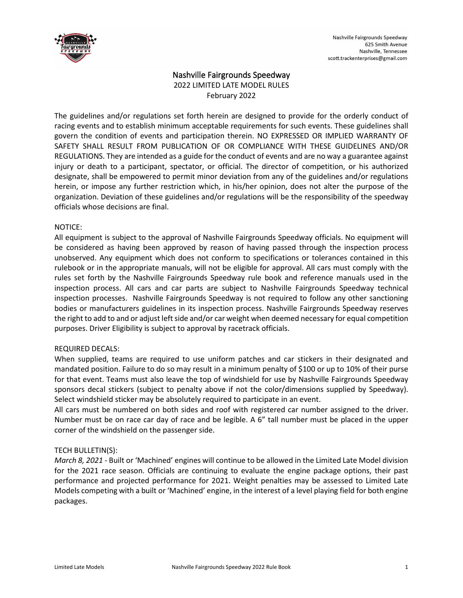

# Nashville Fairgrounds Speedway

2022 LIMITED LATE MODEL RULES February 2022

The guidelines and/or regulations set forth herein are designed to provide for the orderly conduct of racing events and to establish minimum acceptable requirements for such events. These guidelines shall govern the condition of events and participation therein. NO EXPRESSED OR IMPLIED WARRANTY OF SAFETY SHALL RESULT FROM PUBLICATION OF OR COMPLIANCE WITH THESE GUIDELINES AND/OR REGULATIONS. They are intended as a guide for the conduct of events and are no way a guarantee against injury or death to a participant, spectator, or official. The director of competition, or his authorized designate, shall be empowered to permit minor deviation from any of the guidelines and/or regulations herein, or impose any further restriction which, in his/her opinion, does not alter the purpose of the organization. Deviation of these guidelines and/or regulations will be the responsibility of the speedway officials whose decisions are final.

### NOTICE:

All equipment is subject to the approval of Nashville Fairgrounds Speedway officials. No equipment will be considered as having been approved by reason of having passed through the inspection process unobserved. Any equipment which does not conform to specifications or tolerances contained in this rulebook or in the appropriate manuals, will not be eligible for approval. All cars must comply with the rules set forth by the Nashville Fairgrounds Speedway rule book and reference manuals used in the inspection process. All cars and car parts are subject to Nashville Fairgrounds Speedway technical inspection processes. Nashville Fairgrounds Speedway is not required to follow any other sanctioning bodies or manufacturers guidelines in its inspection process. Nashville Fairgrounds Speedway reserves the right to add to and or adjust left side and/or car weight when deemed necessary for equal competition purposes. Driver Eligibility is subject to approval by racetrack officials.

## REQUIRED DECALS:

When supplied, teams are required to use uniform patches and car stickers in their designated and mandated position. Failure to do so may result in a minimum penalty of \$100 or up to 10% of their purse for that event. Teams must also leave the top of windshield for use by Nashville Fairgrounds Speedway sponsors decal stickers (subject to penalty above if not the color/dimensions supplied by Speedway). Select windshield sticker may be absolutely required to participate in an event.

All cars must be numbered on both sides and roof with registered car number assigned to the driver. Number must be on race car day of race and be legible. A 6" tall number must be placed in the upper corner of the windshield on the passenger side.

## TECH BULLETIN(S):

*March 8, 2021* - Built or 'Machined' engines will continue to be allowed in the Limited Late Model division for the 2021 race season. Officials are continuing to evaluate the engine package options, their past performance and projected performance for 2021. Weight penalties may be assessed to Limited Late Models competing with a built or 'Machined' engine, in the interest of a level playing field for both engine packages.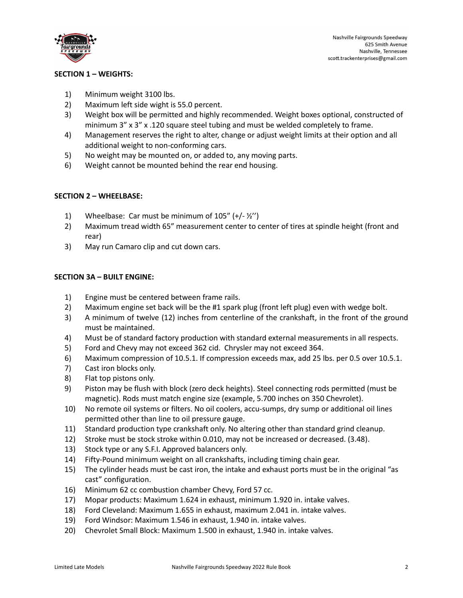

## **SECTION 1 – WEIGHTS:**

- 1) Minimum weight 3100 lbs.
- 2) Maximum left side wight is 55.0 percent.
- 3) Weight box will be permitted and highly recommended. Weight boxes optional, constructed of minimum 3" x 3" x .120 square steel tubing and must be welded completely to frame.
- 4) Management reserves the right to alter, change or adjust weight limits at their option and all additional weight to non-conforming cars.
- 5) No weight may be mounted on, or added to, any moving parts.
- 6) Weight cannot be mounted behind the rear end housing.

## **SECTION 2 – WHEELBASE:**

- 1) Wheelbase: Car must be minimum of  $105'' (+/- ½'')$
- 2) Maximum tread width 65" measurement center to center of tires at spindle height (front and rear)
- 3) May run Camaro clip and cut down cars.

## **SECTION 3A – BUILT ENGINE:**

- 1) Engine must be centered between frame rails.
- 2) Maximum engine set back will be the #1 spark plug (front left plug) even with wedge bolt.
- 3) A minimum of twelve (12) inches from centerline of the crankshaft, in the front of the ground must be maintained.
- 4) Must be of standard factory production with standard external measurements in all respects.
- 5) Ford and Chevy may not exceed 362 cid. Chrysler may not exceed 364.
- 6) Maximum compression of 10.5.1. If compression exceeds max, add 25 lbs. per 0.5 over 10.5.1.
- 7) Cast iron blocks only.
- 8) Flat top pistons only.
- 9) Piston may be flush with block (zero deck heights). Steel connecting rods permitted (must be magnetic). Rods must match engine size (example, 5.700 inches on 350 Chevrolet).
- 10) No remote oil systems or filters. No oil coolers, accu-sumps, dry sump or additional oil lines permitted other than line to oil pressure gauge.
- 11) Standard production type crankshaft only. No altering other than standard grind cleanup.
- 12) Stroke must be stock stroke within 0.010, may not be increased or decreased. (3.48).
- 13) Stock type or any S.F.I. Approved balancers only.
- 14) Fifty-Pound minimum weight on all crankshafts, including timing chain gear.
- 15) The cylinder heads must be cast iron, the intake and exhaust ports must be in the original "as cast" configuration.
- 16) Minimum 62 cc combustion chamber Chevy, Ford 57 cc.
- 17) Mopar products: Maximum 1.624 in exhaust, minimum 1.920 in. intake valves.
- 18) Ford Cleveland: Maximum 1.655 in exhaust, maximum 2.041 in. intake valves.
- 19) Ford Windsor: Maximum 1.546 in exhaust, 1.940 in. intake valves.
- 20) Chevrolet Small Block: Maximum 1.500 in exhaust, 1.940 in. intake valves.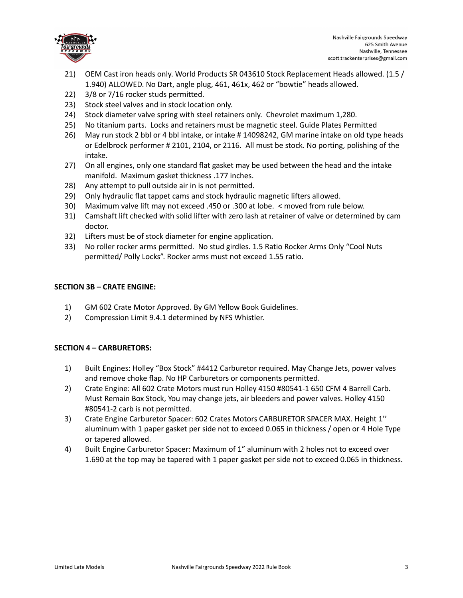

- 21) OEM Cast iron heads only. World Products SR 043610 Stock Replacement Heads allowed. (1.5 / 1.940) ALLOWED. No Dart, angle plug, 461, 461x, 462 or "bowtie" heads allowed.
- 22) 3/8 or 7/16 rocker studs permitted.
- 23) Stock steel valves and in stock location only.
- 24) Stock diameter valve spring with steel retainers only. Chevrolet maximum 1,280.
- 25) No titanium parts. Locks and retainers must be magnetic steel. Guide Plates Permitted
- 26) May run stock 2 bbl or 4 bbl intake, or intake # 14098242, GM marine intake on old type heads or Edelbrock performer # 2101, 2104, or 2116. All must be stock. No porting, polishing of the intake.
- 27) On all engines, only one standard flat gasket may be used between the head and the intake manifold. Maximum gasket thickness .177 inches.
- 28) Any attempt to pull outside air in is not permitted.
- 29) Only hydraulic flat tappet cams and stock hydraulic magnetic lifters allowed.
- 30) Maximum valve lift may not exceed .450 or .300 at lobe. < moved from rule below.
- 31) Camshaft lift checked with solid lifter with zero lash at retainer of valve or determined by cam doctor.
- 32) Lifters must be of stock diameter for engine application.
- 33) No roller rocker arms permitted. No stud girdles. 1.5 Ratio Rocker Arms Only "Cool Nuts permitted/ Polly Locks". Rocker arms must not exceed 1.55 ratio.

## **SECTION 3B – CRATE ENGINE:**

- 1) GM 602 Crate Motor Approved. By GM Yellow Book Guidelines.
- 2) Compression Limit 9.4.1 determined by NFS Whistler.

## **SECTION 4 – CARBURETORS:**

- 1) Built Engines: Holley "Box Stock" #4412 Carburetor required. May Change Jets, power valves and remove choke flap. No HP Carburetors or components permitted.
- 2) Crate Engine: All 602 Crate Motors must run Holley 4150 #80541-1 650 CFM 4 Barrell Carb. Must Remain Box Stock, You may change jets, air bleeders and power valves. Holley 4150 #80541-2 carb is not permitted.
- 3) Crate Engine Carburetor Spacer: 602 Crates Motors CARBURETOR SPACER MAX. Height 1'' aluminum with 1 paper gasket per side not to exceed 0.065 in thickness / open or 4 Hole Type or tapered allowed.
- 4) Built Engine Carburetor Spacer: Maximum of 1" aluminum with 2 holes not to exceed over 1.690 at the top may be tapered with 1 paper gasket per side not to exceed 0.065 in thickness.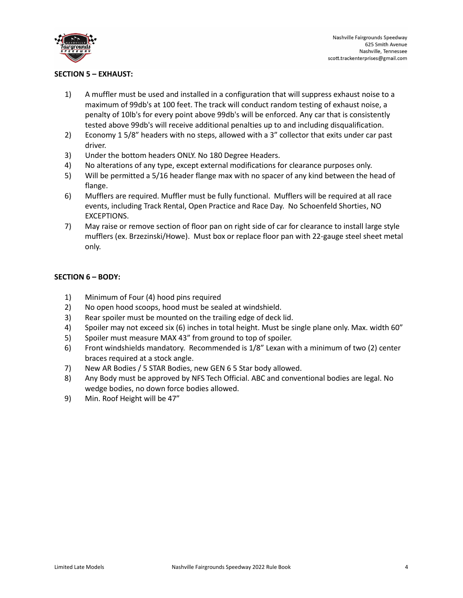

## **SECTION 5 – EXHAUST:**

- 1) A muffler must be used and installed in a configuration that will suppress exhaust noise to a maximum of 99db's at 100 feet. The track will conduct random testing of exhaust noise, a penalty of 10lb's for every point above 99db's will be enforced. Any car that is consistently tested above 99db's will receive additional penalties up to and including disqualification.
- 2) Economy 1 5/8" headers with no steps, allowed with a 3" collector that exits under car past driver.
- 3) Under the bottom headers ONLY. No 180 Degree Headers.
- 4) No alterations of any type, except external modifications for clearance purposes only.
- 5) Will be permitted a 5/16 header flange max with no spacer of any kind between the head of flange.
- 6) Mufflers are required. Muffler must be fully functional. Mufflers will be required at all race events, including Track Rental, Open Practice and Race Day. No Schoenfeld Shorties, NO EXCEPTIONS.
- 7) May raise or remove section of floor pan on right side of car for clearance to install large style mufflers (ex. Brzezinski/Howe). Must box or replace floor pan with 22-gauge steel sheet metal only.

### **SECTION 6 – BODY:**

- 1) Minimum of Four (4) hood pins required
- 2) No open hood scoops, hood must be sealed at windshield.
- 3) Rear spoiler must be mounted on the trailing edge of deck lid.
- 4) Spoiler may not exceed six (6) inches in total height. Must be single plane only. Max. width 60"
- 5) Spoiler must measure MAX 43" from ground to top of spoiler.
- 6) Front windshields mandatory. Recommended is 1/8" Lexan with a minimum of two (2) center braces required at a stock angle.
- 7) New AR Bodies / 5 STAR Bodies, new GEN 6 5 Star body allowed.
- 8) Any Body must be approved by NFS Tech Official. ABC and conventional bodies are legal. No wedge bodies, no down force bodies allowed.
- 9) Min. Roof Height will be 47"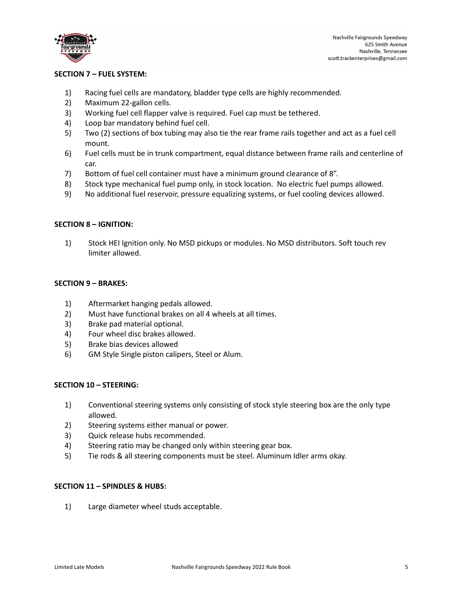

## **SECTION 7 – FUEL SYSTEM:**

- 1) Racing fuel cells are mandatory, bladder type cells are highly recommended.
- 2) Maximum 22-gallon cells.
- 3) Working fuel cell flapper valve is required. Fuel cap must be tethered.
- 4) Loop bar mandatory behind fuel cell.
- 5) Two (2) sections of box tubing may also tie the rear frame rails together and act as a fuel cell mount.
- 6) Fuel cells must be in trunk compartment, equal distance between frame rails and centerline of car.
- 7) Bottom of fuel cell container must have a minimum ground clearance of 8".
- 8) Stock type mechanical fuel pump only, in stock location. No electric fuel pumps allowed.
- 9) No additional fuel reservoir, pressure equalizing systems, or fuel cooling devices allowed.

### **SECTION 8 – IGNITION:**

1) Stock HEI Ignition only. No MSD pickups or modules. No MSD distributors. Soft touch rev limiter allowed.

### **SECTION 9 – BRAKES:**

- 1) Aftermarket hanging pedals allowed.
- 2) Must have functional brakes on all 4 wheels at all times.
- 3) Brake pad material optional.
- 4) Four wheel disc brakes allowed.
- 5) Brake bias devices allowed
- 6) GM Style Single piston calipers, Steel or Alum.

### **SECTION 10 – STEERING:**

- 1) Conventional steering systems only consisting of stock style steering box are the only type allowed.
- 2) Steering systems either manual or power.
- 3) Quick release hubs recommended.
- 4) Steering ratio may be changed only within steering gear box.
- 5) Tie rods & all steering components must be steel. Aluminum Idler arms okay.

### **SECTION 11 – SPINDLES & HUBS:**

1) Large diameter wheel studs acceptable.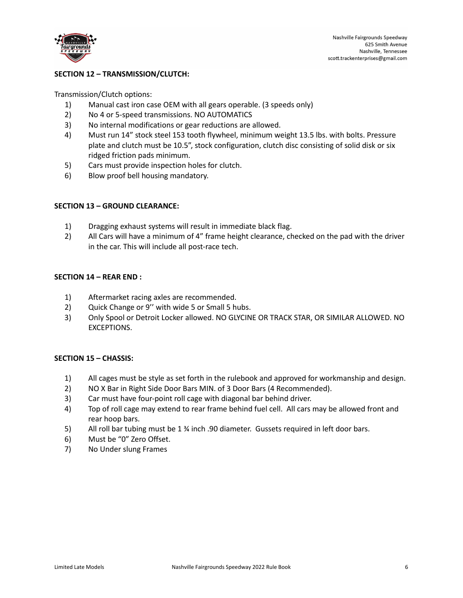

## **SECTION 12 – TRANSMISSION/CLUTCH:**

Transmission/Clutch options:

- 1) Manual cast iron case OEM with all gears operable. (3 speeds only)
- 2) No 4 or 5-speed transmissions. NO AUTOMATICS
- 3) No internal modifications or gear reductions are allowed.
- 4) Must run 14" stock steel 153 tooth flywheel, minimum weight 13.5 lbs. with bolts. Pressure plate and clutch must be 10.5", stock configuration, clutch disc consisting of solid disk or six ridged friction pads minimum.
- 5) Cars must provide inspection holes for clutch.
- 6) Blow proof bell housing mandatory.

### **SECTION 13 – GROUND CLEARANCE:**

- 1) Dragging exhaust systems will result in immediate black flag.
- 2) All Cars will have a minimum of 4" frame height clearance, checked on the pad with the driver in the car. This will include all post-race tech.

#### **SECTION 14 – REAR END :**

- 1) Aftermarket racing axles are recommended.
- 2) Quick Change or 9'' with wide 5 or Small 5 hubs.
- 3) Only Spool or Detroit Locker allowed. NO GLYCINE OR TRACK STAR, OR SIMILAR ALLOWED. NO EXCEPTIONS.

### **SECTION 15 – CHASSIS:**

- 1) All cages must be style as set forth in the rulebook and approved for workmanship and design.
- 2) NO X Bar in Right Side Door Bars MIN. of 3 Door Bars (4 Recommended).
- 3) Car must have four-point roll cage with diagonal bar behind driver.
- 4) Top of roll cage may extend to rear frame behind fuel cell. All cars may be allowed front and rear hoop bars.
- 5) All roll bar tubing must be 1 % inch .90 diameter. Gussets required in left door bars.
- 6) Must be "0" Zero Offset.
- 7) No Under slung Frames